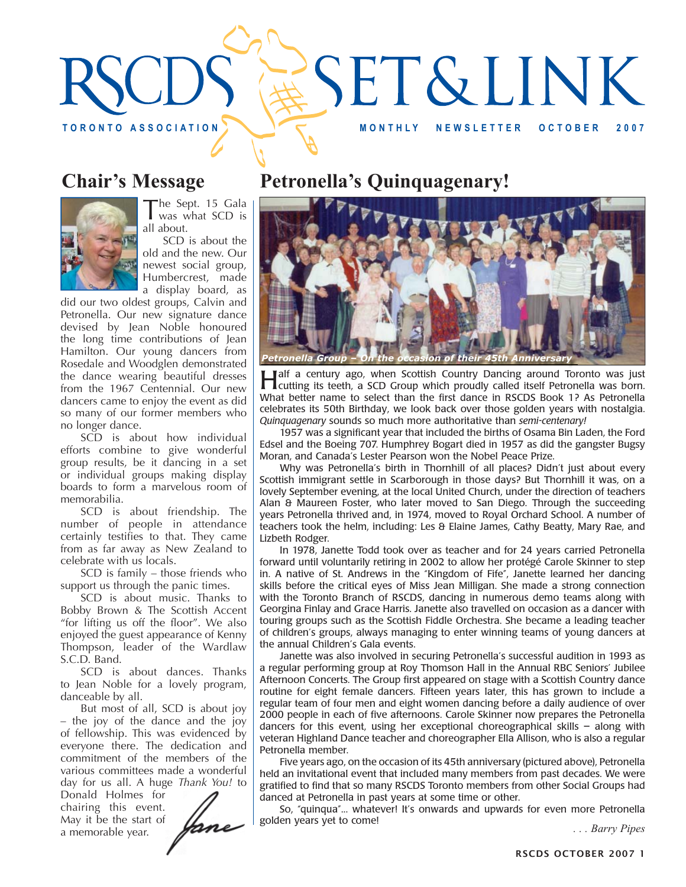

# **Chair's Message**



The Sept. 15 Gala<br>was what SCD is all about.

SCD is about the old and the new. Our newest social group, Humbercrest, made a display board, as

did our two oldest groups, Calvin and Petronella. Our new signature dance devised by Jean Noble honoured the long time contributions of Jean Hamilton. Our young dancers from Rosedale and Woodglen demonstrated the dance wearing beautiful dresses from the 1967 Centennial. Our new dancers came to enjoy the event as did so many of our former members who no longer dance.

SCD is about how individual efforts combine to give wonderful group results, be it dancing in a set or individual groups making display boards to form a marvelous room of memorabilia.

SCD is about friendship. The number of people in attendance certainly testifies to that. They came from as far away as New Zealand to celebrate with us locals.

SCD is family – those friends who support us through the panic times.

SCD is about music. Thanks to Bobby Brown & The Scottish Accent "for lifting us off the floor". We also enjoyed the guest appearance of Kenny Thompson, leader of the Wardlaw S.C.D. Band.

SCD is about dances. Thanks to Jean Noble for a lovely program, danceable by all.

But most of all, SCD is about joy – the joy of the dance and the joy of fellowship. This was evidenced by everyone there. The dedication and commitment of the members of the various committees made a wonderful day for us all. A huge *Thank You!* to

Donald Holmes for chairing this event. May it be the start of a memorable year.

Jane

## **Petronella's Quinquagenary!**



**Half a century ago, when Scottish Country Dancing around Toronto was just cutting its teeth, a SCD Group which proudly called itself Petronella was born.** What better name to select than the first dance in RSCDS Book 1? As Petronella celebrates its 50th Birthday, we look back over those golden years with nostalgia. *Quinquagenary* sounds so much more authoritative than *semi-centenary!*

1957 was a significant year that included the births of Osama Bin Laden, the Ford Edsel and the Boeing 707. Humphrey Bogart died in 1957 as did the gangster Bugsy Moran, and Canada's Lester Pearson won the Nobel Peace Prize.

Why was Petronella's birth in Thornhill of all places? Didn't just about every Scottish immigrant settle in Scarborough in those days? But Thornhill it was, on a lovely September evening, at the local United Church, under the direction of teachers Alan & Maureen Foster, who later moved to San Diego. Through the succeeding years Petronella thrived and, in 1974, moved to Royal Orchard School. A number of teachers took the helm, including: Les & Elaine James, Cathy Beatty, Mary Rae, and Lizbeth Rodger.

In 1978, Janette Todd took over as teacher and for 24 years carried Petronella forward until voluntarily retiring in 2002 to allow her protégé Carole Skinner to step in. A native of St. Andrews in the "Kingdom of Fife", Janette learned her dancing skills before the critical eyes of Miss Jean Milligan. She made a strong connection with the Toronto Branch of RSCDS, dancing in numerous demo teams along with Georgina Finlay and Grace Harris. Janette also travelled on occasion as a dancer with touring groups such as the Scottish Fiddle Orchestra. She became a leading teacher of children's groups, always managing to enter winning teams of young dancers at the annual Children's Gala events.

Janette was also involved in securing Petronella's successful audition in 1993 as a regular performing group at Roy Thomson Hall in the Annual RBC Seniors' Jubilee Afternoon Concerts. The Group first appeared on stage with a Scottish Country dance routine for eight female dancers. Fifteen years later, this has grown to include a regular team of four men and eight women dancing before a daily audience of over 2000 people in each of five afternoons. Carole Skinner now prepares the Petronella dancers for this event, using her exceptional choreographical skills – along with veteran Highland Dance teacher and choreographer Ella Allison, who is also a regular Petronella member.

Five years ago, on the occasion of its 45th anniversary (pictured above), Petronella held an invitational event that included many members from past decades. We were gratified to find that so many RSCDS Toronto members from other Social Groups had danced at Petronella in past years at some time or other.

So, "quinqua"... whatever! It's onwards and upwards for even more Petronella golden years yet to come! *. . . Barry Pipes*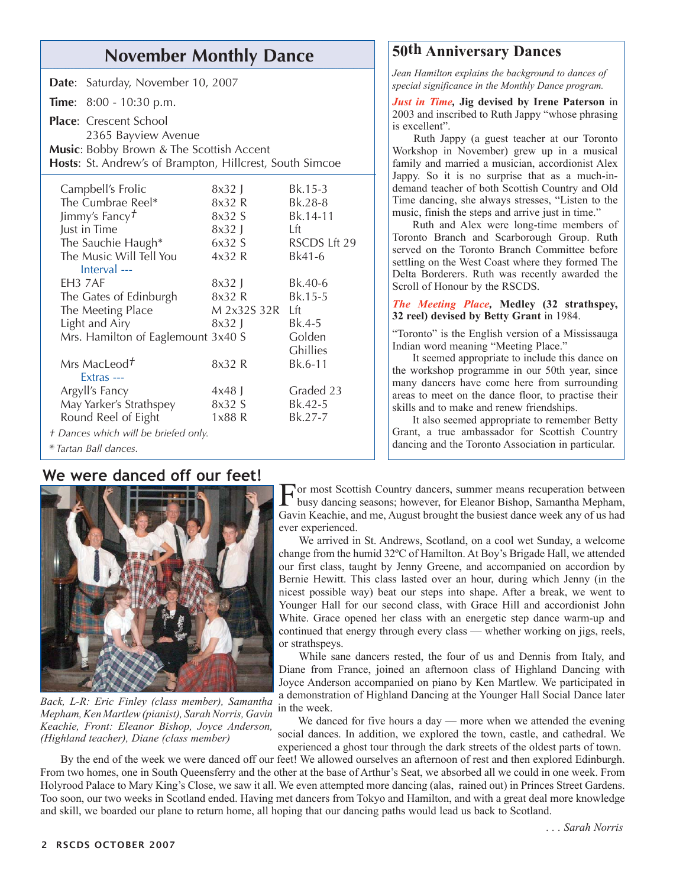# **November Monthly Dance 50th Anniversary Dances**

|                                                                                                      | Date: Saturday, November 10, 2007                    |                 |              |
|------------------------------------------------------------------------------------------------------|------------------------------------------------------|-----------------|--------------|
|                                                                                                      | <b>Time:</b> $8:00 - 10:30 \text{ p.m.}$             |                 |              |
|                                                                                                      | <b>Place:</b> Crescent School<br>2365 Bayview Avenue |                 |              |
| Music: Bobby Brown & The Scottish Accent<br>Hosts: St. Andrew's of Brampton, Hillcrest, South Simcoe |                                                      |                 |              |
| Campbell's Frolic                                                                                    |                                                      | $8x32$ J        | Bk.15-3      |
| The Cumbrae Reel*                                                                                    |                                                      | 8x32 R          | Bk.28-8      |
| Jimmy's Fancy $\bar{t}$                                                                              |                                                      | 8x32 S          | Bk.14-11     |
| Just in Time                                                                                         |                                                      | $8x32$ J        | Lft.         |
| The Sauchie Haugh*                                                                                   |                                                      | 6x32S           | RSCDS Lft 29 |
| The Music Will Tell You                                                                              |                                                      | 4x32R           | Bk41-6       |
|                                                                                                      | $Interval$ ---                                       |                 |              |
| EH <sub>3</sub> 7AF                                                                                  |                                                      | 8x32 L          | Bk.40-6      |
| The Gates of Edinburgh                                                                               |                                                      | 8x32 R          | Bk.15-5      |
| The Meeting Place                                                                                    |                                                      | M 2x32S 32R Lft |              |
| Light and Airy                                                                                       |                                                      | $8x32$ J        | Bk.4-5       |
| Mrs. Hamilton of Eaglemount 3x40 S                                                                   |                                                      |                 | Golden       |
|                                                                                                      |                                                      |                 | Ghillies     |
|                                                                                                      | Mrs MacLeod <sup>+</sup><br>Extras $---$             | 8x32 R          | Bk.6-11      |
| Argyll's Fancy                                                                                       |                                                      | $4x48$ J        | Graded 23    |
| May Yarker's Strathspey                                                                              |                                                      | 8x32 S          | Bk.42-5      |
| Round Reel of Eight                                                                                  |                                                      | 1x88 R          | Bk.27-7      |
| † Dances which will be briefed only.                                                                 |                                                      |                 |              |
| * Tartan Ball dances.                                                                                |                                                      |                 |              |

#### **We were danced off our feet!**



*Back, L-R: Eric Finley (class member), Samantha Mepham, Ken Martlew (pianist), Sarah Norris, Gavin Keachie, Front: Eleanor Bishop, Joyce Anderson, (Highland teacher), Diane (class member)*

*Jean Hamilton explains the background to dances of special significance in the Monthly Dance program.*

*Just in Time,* **Jig devised by Irene Paterson** in 2003 and inscribed to Ruth Jappy "whose phrasing is excellent".

Ruth Jappy (a guest teacher at our Toronto Workshop in November) grew up in a musical family and married a musician, accordionist Alex Jappy. So it is no surprise that as a much-indemand teacher of both Scottish Country and Old Time dancing, she always stresses, "Listen to the music, finish the steps and arrive just in time."

Ruth and Alex were long-time members of Toronto Branch and Scarborough Group. Ruth served on the Toronto Branch Committee before settling on the West Coast where they formed The Delta Borderers. Ruth was recently awarded the Scroll of Honour by the RSCDS.

*The Meeting Place,* **Medley (32 strathspey, 32 reel) devised by Betty Grant** in 1984.

"Toronto" is the English version of a Mississauga Indian word meaning "Meeting Place."

It seemed appropriate to include this dance on the workshop programme in our 50th year, since many dancers have come here from surrounding areas to meet on the dance floor, to practise their skills and to make and renew friendships.

It also seemed appropriate to remember Betty Grant, a true ambassador for Scottish Country dancing and the Toronto Association in particular.

For most Scottish Country dancers, summer means recuperation between busy dancing seasons; however, for Eleanor Bishop, Samantha Mepham, Gavin Keachie, and me, August brought the busiest dance week any of us had ever experienced.

We arrived in St. Andrews, Scotland, on a cool wet Sunday, a welcome change from the humid 32ºC of Hamilton. At Boy's Brigade Hall, we attended our first class, taught by Jenny Greene, and accompanied on accordion by Bernie Hewitt. This class lasted over an hour, during which Jenny (in the nicest possible way) beat our steps into shape. After a break, we went to Younger Hall for our second class, with Grace Hill and accordionist John White. Grace opened her class with an energetic step dance warm-up and continued that energy through every class — whether working on jigs, reels, or strathspeys.

While sane dancers rested, the four of us and Dennis from Italy, and Diane from France, joined an afternoon class of Highland Dancing with Joyce Anderson accompanied on piano by Ken Martlew. We participated in a demonstration of Highland Dancing at the Younger Hall Social Dance later in the week.

We danced for five hours a day — more when we attended the evening social dances. In addition, we explored the town, castle, and cathedral. We experienced a ghost tour through the dark streets of the oldest parts of town.

By the end of the week we were danced off our feet! We allowed ourselves an afternoon of rest and then explored Edinburgh. From two homes, one in South Queensferry and the other at the base of Arthur's Seat, we absorbed all we could in one week. From Holyrood Palace to Mary King's Close, we saw it all. We even attempted more dancing (alas, rained out) in Princes Street Gardens. Too soon, our two weeks in Scotland ended. Having met dancers from Tokyo and Hamilton, and with a great deal more knowledge and skill, we boarded our plane to return home, all hoping that our dancing paths would lead us back to Scotland.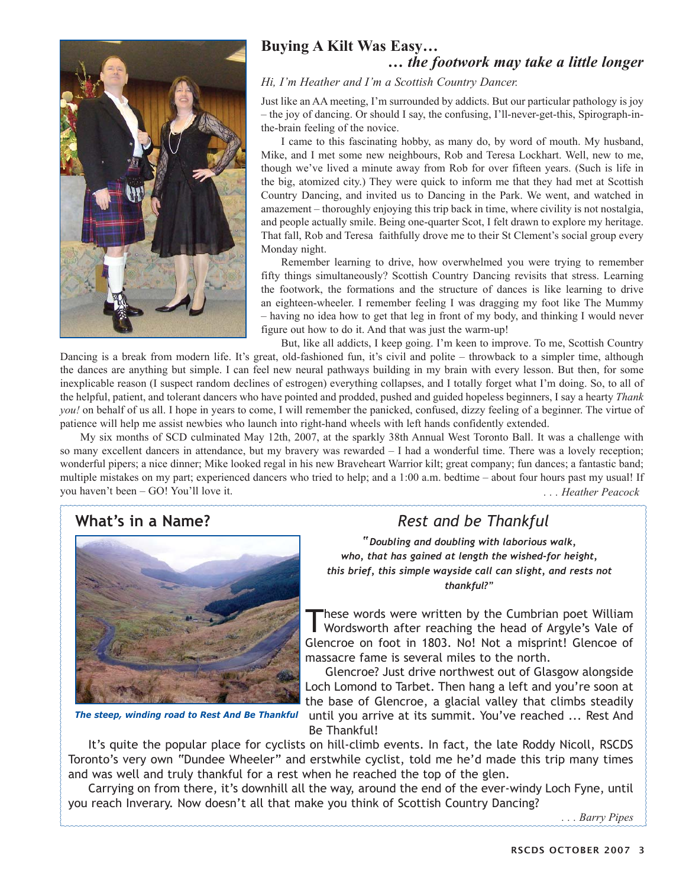

#### **Buying A Kilt Was Easy… …** *the footwork may take a little longer*

#### *Hi, I'm Heather and I'm a Scottish Country Dancer.*

Just like an AA meeting, I'm surrounded by addicts. But our particular pathology is joy – the joy of dancing. Or should I say, the confusing, I'll-never-get-this, Spirograph-inthe-brain feeling of the novice.

I came to this fascinating hobby, as many do, by word of mouth. My husband, Mike, and I met some new neighbours, Rob and Teresa Lockhart. Well, new to me, though we've lived a minute away from Rob for over fifteen years. (Such is life in the big, atomized city.) They were quick to inform me that they had met at Scottish Country Dancing, and invited us to Dancing in the Park. We went, and watched in amazement – thoroughly enjoying this trip back in time, where civility is not nostalgia, and people actually smile. Being one-quarter Scot, I felt drawn to explore my heritage. That fall, Rob and Teresa faithfully drove me to their St Clement's social group every Monday night.

Remember learning to drive, how overwhelmed you were trying to remember fifty things simultaneously? Scottish Country Dancing revisits that stress. Learning the footwork, the formations and the structure of dances is like learning to drive an eighteen-wheeler. I remember feeling I was dragging my foot like The Mummy – having no idea how to get that leg in front of my body, and thinking I would never figure out how to do it. And that was just the warm-up!

But, like all addicts, I keep going. I'm keen to improve. To me, Scottish Country Dancing is a break from modern life. It's great, old-fashioned fun, it's civil and polite – throwback to a simpler time, although the dances are anything but simple. I can feel new neural pathways building in my brain with every lesson. But then, for some inexplicable reason (I suspect random declines of estrogen) everything collapses, and I totally forget what I'm doing. So, to all of the helpful, patient, and tolerant dancers who have pointed and prodded, pushed and guided hopeless beginners, I say a hearty *Thank you!* on behalf of us all. I hope in years to come, I will remember the panicked, confused, dizzy feeling of a beginner. The virtue of patience will help me assist newbies who launch into right-hand wheels with left hands confidently extended.

*. . . Heather Peacock* My six months of SCD culminated May 12th, 2007, at the sparkly 38th Annual West Toronto Ball. It was a challenge with so many excellent dancers in attendance, but my bravery was rewarded – I had a wonderful time. There was a lovely reception; wonderful pipers; a nice dinner; Mike looked regal in his new Braveheart Warrior kilt; great company; fun dances; a fantastic band; multiple mistakes on my part; experienced dancers who tried to help; and a 1:00 a.m. bedtime – about four hours past my usual! If you haven't been – GO! You'll love it.

## **What's in a Name?** *Rest and be Thankful*



*The steep, winding road to Rest And Be Thankful*

*"Doubling and doubling with laborious walk, who, that has gained at length the wished-for height, this brief, this simple wayside call can slight, and rests not thankful?"*

These words were written by the Cumbrian poet William Wordsworth after reaching the head of Argyle's Vale of Glencroe on foot in 1803. No! Not a misprint! Glencoe of massacre fame is several miles to the north.

Glencroe? Just drive northwest out of Glasgow alongside Loch Lomond to Tarbet. Then hang a left and you're soon at the base of Glencroe, a glacial valley that climbs steadily until you arrive at its summit. You've reached ... Rest And Be Thankful!

It's quite the popular place for cyclists on hill-climb events. In fact, the late Roddy Nicoll, RSCDS Toronto's very own "Dundee Wheeler" and erstwhile cyclist, told me he'd made this trip many times and was well and truly thankful for a rest when he reached the top of the glen.

Carrying on from there, it's downhill all the way, around the end of the ever-windy Loch Fyne, until you reach Inverary. Now doesn't all that make you think of Scottish Country Dancing?

*. . . Barry Pipes*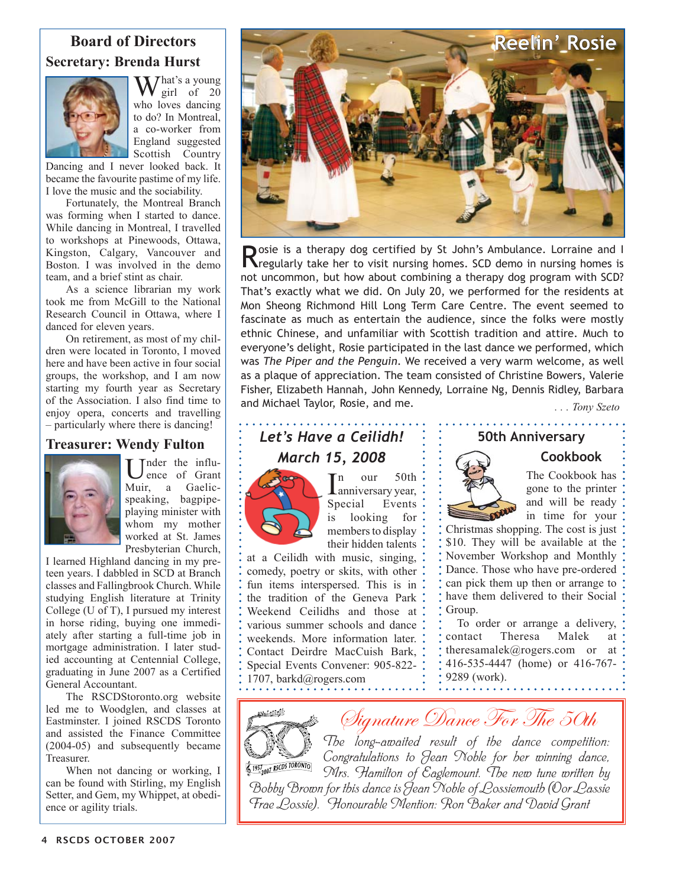#### **Board of Directors Secretary: Brenda Hurst**



 $J$ hat's a young girl of 20 who loves dancing to do? In Montreal, a co-worker from England suggested Scottish Country

Dancing and I never looked back. It became the favourite pastime of my life. I love the music and the sociability.

Fortunately, the Montreal Branch was forming when I started to dance. While dancing in Montreal, I travelled to workshops at Pinewoods, Ottawa, Kingston, Calgary, Vancouver and Boston. I was involved in the demo team, and a brief stint as chair.

As a science librarian my work took me from McGill to the National Research Council in Ottawa, where I danced for eleven years.

On retirement, as most of my children were located in Toronto, I moved here and have been active in four social groups, the workshop, and I am now starting my fourth year as Secretary of the Association. I also find time to enjoy opera, concerts and travelling – particularly where there is dancing!

#### **Treasurer: Wendy Fulton**



Tnder the influence of Grant Muir, a Gaelicspeaking, bagpipeplaying minister with whom my mother worked at St. James Presbyterian Church,

I learned Highland dancing in my preteen years. I dabbled in SCD at Branch classes and Fallingbrook Church. While studying English literature at Trinity College (U of T), I pursued my interest in horse riding, buying one immediately after starting a full-time job in mortgage administration. I later studied accounting at Centennial College, graduating in June 2007 as a Certified General Accountant.

The RSCDStoronto.org website led me to Woodglen, and classes at Eastminster. I joined RSCDS Toronto and assisted the Finance Committee (2004-05) and subsequently became Treasurer.

When not dancing or working, I can be found with Stirling, my English Setter, and Gem, my Whippet, at obedience or agility trials.



Rosie is a therapy dog certified by St John's Ambulance. Lorraine and I Riegularly take her to visit nursing homes. SCD demo in nursing homes is not uncommon, but how about combining a therapy dog program with SCD? That's exactly what we did. On July 20, we performed for the residents at Mon Sheong Richmond Hill Long Term Care Centre. The event seemed to fascinate as much as entertain the audience, since the folks were mostly ethnic Chinese, and unfamiliar with Scottish tradition and attire. Much to everyone's delight, Rosie participated in the last dance we performed, which was *The Piper and the Penguin*. We received a very warm welcome, as well as a plaque of appreciation. The team consisted of Christine Bowers, Valerie Fisher, Elizabeth Hannah, John Kennedy, Lorraine Ng, Dennis Ridley, Barbara and Michael Taylor, Rosie, and me. *. . . Tony Szeto*

# *Let's Have a Ceilidh! March 15, 2008*



 $\prod_{\text{anniversity year,}}^{\text{n} \text{our}}$ n our 50th Special Events is looking for members to display their hidden talents

at a Ceilidh with music, singing, comedy, poetry or skits, with other fun items interspersed. This is in the tradition of the Geneva Park Weekend Ceilidhs and those at various summer schools and dance weekends. More information later. Contact Deirdre MacCuish Bark, Special Events Convener: 905-822- 1707, barkd@rogers.com

. . . . . . . . . . .



**Cookbook** The Cookbook has

gone to the printer and will be ready in time for your

Christmas shopping. The cost is just \$10. They will be available at the November Workshop and Monthly Dance. Those who have pre-ordered can pick them up then or arrange to have them delivered to their Social Group.

To order or arrange a delivery, contact Theresa Malek at theresamalek@rogers.com or at 416-535-4447 (home) or 416-767- 9289 (work). . . . . . . . . . . . . . .



Signature Dance For The 50th

*The long-awaited result of the dance competition: Congratulations to Jean Noble for her winning dance,*  1957<sub>2007</sub> RSCDS TORONTO *Mrs. Hamilton of Eaglemount. The new tune written by Bobby Brown for this dance is Jean Noble of Lossiemouth (Oor Lassie Frae Lossie). Honourable Mention: Ron Baker and David Grant*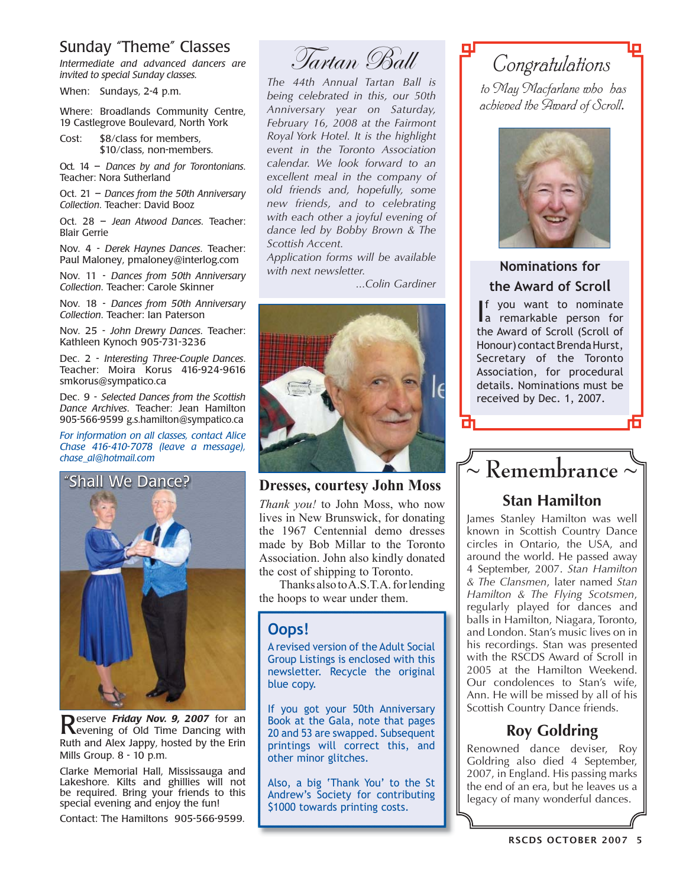#### Sunday "Theme" Classes

*Intermediate and advanced dancers are invited to special Sunday classes.*

When: Sundays, 2-4 p.m.

Where: Broadlands Community Centre, 19 Castlegrove Boulevard, North York

Cost: \$8/class for members, \$10/class, non-members.

Oct. 14 – *Dances by and for Torontonians*. Teacher: Nora Sutherland

Oct. 21 – *Dances from the 50th Anniversary Collection*. Teacher: David Booz

Oct. 28 – *Jean Atwood Dances*. Teacher: Blair Gerrie

Nov. 4 - *Derek Haynes Dances*. Teacher: Paul Maloney, pmaloney@interlog.com

Nov. 11 - *Dances from 50th Anniversary Collection*. Teacher: Carole Skinner

Nov. 18 - *Dances from 50th Anniversary Collection*. Teacher: Ian Paterson

Nov. 25 - *John Drewry Dances*. Teacher: Kathleen Kynoch 905-731-3236

Dec. 2 - *Interesting Three-Couple Dances*. Teacher: Moira Korus 416-924-9616 smkorus@sympatico.ca

Dec. 9 - *Selected Dances from the Scottish Dance Archives*. Teacher: Jean Hamilton 905-566-9599 g.s.hamilton@sympatico.ca

*For information on all classes, contact Alice Chase 416-410-7078 (leave a message), chase\_al@hotmail.com* 



**Reserve Friday Nov. 9, 2007** for an **Revening of Old Time Dancing with** Ruth and Alex Jappy, hosted by the Erin Mills Group. 8 - 10 p.m.

Clarke Memorial Hall, Mississauga and Lakeshore. Kilts and ghillies will not be required. Bring your friends to this special evening and enjoy the fun!

Contact: The Hamiltons 905-566-9599.

Tartan Ball

*The 44th Annual Tartan Ball is being celebrated in this, our 50th Anniversary year on Saturday, February 16, 2008 at the Fairmont Royal York Hotel. It is the highlight event in the Toronto Association calendar. We look forward to an excellent meal in the company of old friends and, hopefully, some new friends, and to celebrating with each other a joyful evening of dance led by Bobby Brown & The Scottish Accent.*

*Application forms will be available with next newsletter.*

*...Colin Gardiner* 



#### **Dresses, courtesy John Moss**

*Thank you!* to John Moss, who now lives in New Brunswick, for donating the 1967 Centennial demo dresses made by Bob Millar to the Toronto Association. John also kindly donated the cost of shipping to Toronto.

Thanks also to A.S.T.A. for lending the hoops to wear under them.

#### **Oops!**

A revised version of the Adult Social Group Listings is enclosed with this newsletter. Recycle the original blue copy.

If you got your 50th Anniversary Book at the Gala, note that pages 20 and 53 are swapped. Subsequent printings will correct this, and other minor glitches.

Also, a big 'Thank You' to the St Andrew's Society for contributing \$1000 towards printing costs.

# *Congratulations*

*to May Macfarlane who has achieved the Award of Scroll*.



#### **Nominations for the Award of Scroll**

I a remarkable person for f you want to nominate the Award of Scroll (Scroll of Honour) contact Brenda Hurst, Secretary of the Toronto Association, for procedural details. Nominations must be received by Dec. 1, 2007.



### **Stan Hamilton**

James Stanley Hamilton was well known in Scottish Country Dance circles in Ontario, the USA, and around the world. He passed away 4 September, 2007. *Stan Hamilton & The Clansmen*, later named *Stan Hamilton & The Flying Scotsmen*, regularly played for dances and balls in Hamilton, Niagara, Toronto, and London. Stan's music lives on in his recordings. Stan was presented with the RSCDS Award of Scroll in 2005 at the Hamilton Weekend. Our condolences to Stan's wife, Ann. He will be missed by all of his Scottish Country Dance friends.

### **Roy Goldring**

Renowned dance deviser, Roy Goldring also died 4 September, 2007, in England. His passing marks the end of an era, but he leaves us a legacy of many wonderful dances.